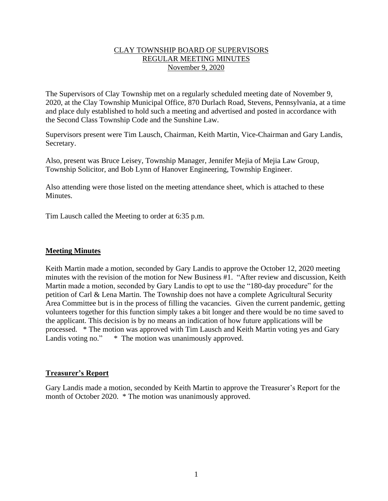#### CLAY TOWNSHIP BOARD OF SUPERVISORS REGULAR MEETING MINUTES November 9, 2020

The Supervisors of Clay Township met on a regularly scheduled meeting date of November 9, 2020, at the Clay Township Municipal Office, 870 Durlach Road, Stevens, Pennsylvania, at a time and place duly established to hold such a meeting and advertised and posted in accordance with the Second Class Township Code and the Sunshine Law.

Supervisors present were Tim Lausch, Chairman, Keith Martin, Vice-Chairman and Gary Landis, Secretary.

Also, present was Bruce Leisey, Township Manager, Jennifer Mejia of Mejia Law Group, Township Solicitor, and Bob Lynn of Hanover Engineering, Township Engineer.

Also attending were those listed on the meeting attendance sheet, which is attached to these Minutes.

Tim Lausch called the Meeting to order at 6:35 p.m.

#### **Meeting Minutes**

Keith Martin made a motion, seconded by Gary Landis to approve the October 12, 2020 meeting minutes with the revision of the motion for New Business #1. "After review and discussion, Keith Martin made a motion, seconded by Gary Landis to opt to use the "180-day procedure" for the petition of Carl & Lena Martin. The Township does not have a complete Agricultural Security Area Committee but is in the process of filling the vacancies. Given the current pandemic, getting volunteers together for this function simply takes a bit longer and there would be no time saved to the applicant. This decision is by no means an indication of how future applications will be processed. \* The motion was approved with Tim Lausch and Keith Martin voting yes and Gary Landis voting no."  $*$  The motion was unanimously approved.

#### **Treasurer's Report**

Gary Landis made a motion, seconded by Keith Martin to approve the Treasurer's Report for the month of October 2020. \* The motion was unanimously approved.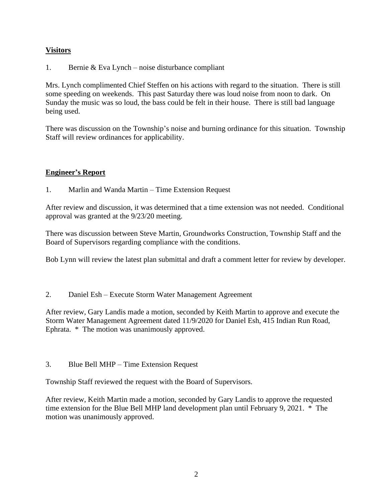# **Visitors**

1. Bernie & Eva Lynch – noise disturbance compliant

Mrs. Lynch complimented Chief Steffen on his actions with regard to the situation. There is still some speeding on weekends. This past Saturday there was loud noise from noon to dark. On Sunday the music was so loud, the bass could be felt in their house. There is still bad language being used.

There was discussion on the Township's noise and burning ordinance for this situation. Township Staff will review ordinances for applicability.

# **Engineer's Report**

1. Marlin and Wanda Martin – Time Extension Request

After review and discussion, it was determined that a time extension was not needed. Conditional approval was granted at the 9/23/20 meeting.

There was discussion between Steve Martin, Groundworks Construction, Township Staff and the Board of Supervisors regarding compliance with the conditions.

Bob Lynn will review the latest plan submittal and draft a comment letter for review by developer.

2. Daniel Esh – Execute Storm Water Management Agreement

After review, Gary Landis made a motion, seconded by Keith Martin to approve and execute the Storm Water Management Agreement dated 11/9/2020 for Daniel Esh, 415 Indian Run Road, Ephrata. \* The motion was unanimously approved.

3. Blue Bell MHP – Time Extension Request

Township Staff reviewed the request with the Board of Supervisors.

After review, Keith Martin made a motion, seconded by Gary Landis to approve the requested time extension for the Blue Bell MHP land development plan until February 9, 2021. \* The motion was unanimously approved.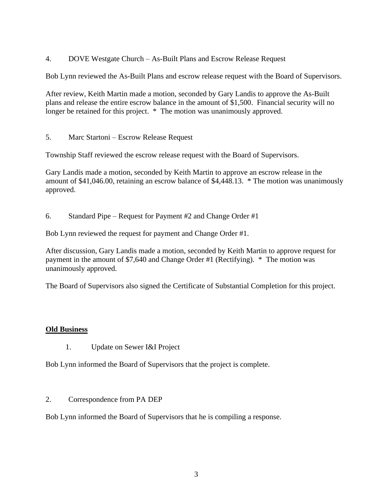4. DOVE Westgate Church – As-Built Plans and Escrow Release Request

Bob Lynn reviewed the As-Built Plans and escrow release request with the Board of Supervisors.

After review, Keith Martin made a motion, seconded by Gary Landis to approve the As-Built plans and release the entire escrow balance in the amount of \$1,500. Financial security will no longer be retained for this project.  $*$  The motion was unanimously approved.

5. Marc Startoni – Escrow Release Request

Township Staff reviewed the escrow release request with the Board of Supervisors.

Gary Landis made a motion, seconded by Keith Martin to approve an escrow release in the amount of \$41,046.00, retaining an escrow balance of \$4,448.13. \* The motion was unanimously approved.

6. Standard Pipe – Request for Payment #2 and Change Order #1

Bob Lynn reviewed the request for payment and Change Order #1.

After discussion, Gary Landis made a motion, seconded by Keith Martin to approve request for payment in the amount of \$7,640 and Change Order #1 (Rectifying). \* The motion was unanimously approved.

The Board of Supervisors also signed the Certificate of Substantial Completion for this project.

### **Old Business**

1. Update on Sewer I&I Project

Bob Lynn informed the Board of Supervisors that the project is complete.

2. Correspondence from PA DEP

Bob Lynn informed the Board of Supervisors that he is compiling a response.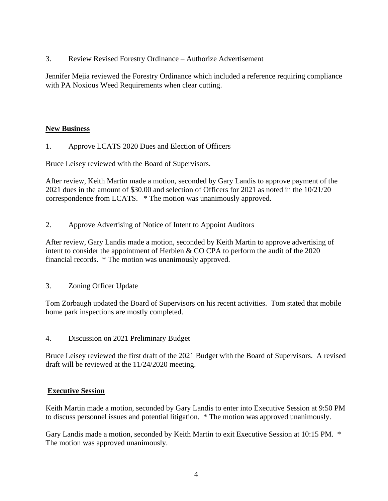3. Review Revised Forestry Ordinance – Authorize Advertisement

Jennifer Mejia reviewed the Forestry Ordinance which included a reference requiring compliance with PA Noxious Weed Requirements when clear cutting.

# **New Business**

1. Approve LCATS 2020 Dues and Election of Officers

Bruce Leisey reviewed with the Board of Supervisors.

After review, Keith Martin made a motion, seconded by Gary Landis to approve payment of the 2021 dues in the amount of \$30.00 and selection of Officers for 2021 as noted in the 10/21/20 correspondence from LCATS. \* The motion was unanimously approved.

2. Approve Advertising of Notice of Intent to Appoint Auditors

After review, Gary Landis made a motion, seconded by Keith Martin to approve advertising of intent to consider the appointment of Herbien & CO CPA to perform the audit of the 2020 financial records. \* The motion was unanimously approved.

3. Zoning Officer Update

Tom Zorbaugh updated the Board of Supervisors on his recent activities. Tom stated that mobile home park inspections are mostly completed.

4. Discussion on 2021 Preliminary Budget

Bruce Leisey reviewed the first draft of the 2021 Budget with the Board of Supervisors. A revised draft will be reviewed at the 11/24/2020 meeting.

### **Executive Session**

Keith Martin made a motion, seconded by Gary Landis to enter into Executive Session at 9:50 PM to discuss personnel issues and potential litigation. \* The motion was approved unanimously.

Gary Landis made a motion, seconded by Keith Martin to exit Executive Session at 10:15 PM. \* The motion was approved unanimously.